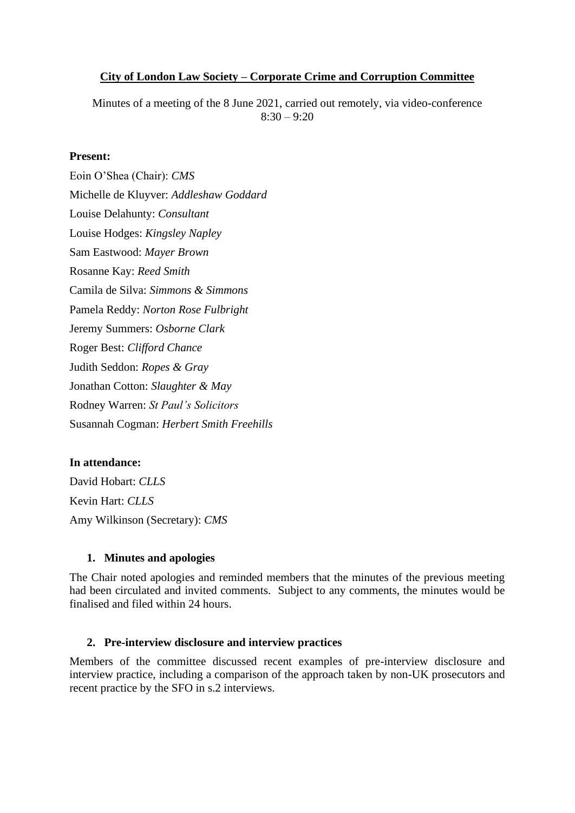## **City of London Law Society – Corporate Crime and Corruption Committee**

Minutes of a meeting of the 8 June 2021, carried out remotely, via video-conference  $8:30 - 9:20$ 

## **Present:**

Eoin O'Shea (Chair): *CMS* Michelle de Kluyver: *Addleshaw Goddard* Louise Delahunty: *Consultant* Louise Hodges: *Kingsley Napley* Sam Eastwood: *Mayer Brown* Rosanne Kay: *Reed Smith* Camila de Silva: *Simmons & Simmons* Pamela Reddy: *Norton Rose Fulbright* Jeremy Summers: *Osborne Clark* Roger Best: *Clifford Chance* Judith Seddon: *Ropes & Gray* Jonathan Cotton: *Slaughter & May* Rodney Warren: *St Paul's Solicitors* Susannah Cogman: *Herbert Smith Freehills*

## **In attendance:**

David Hobart: *CLLS* Kevin Hart: *CLLS* Amy Wilkinson (Secretary): *CMS*

## **1. Minutes and apologies**

The Chair noted apologies and reminded members that the minutes of the previous meeting had been circulated and invited comments. Subject to any comments, the minutes would be finalised and filed within 24 hours.

#### **2. Pre-interview disclosure and interview practices**

Members of the committee discussed recent examples of pre-interview disclosure and interview practice, including a comparison of the approach taken by non-UK prosecutors and recent practice by the SFO in s.2 interviews.